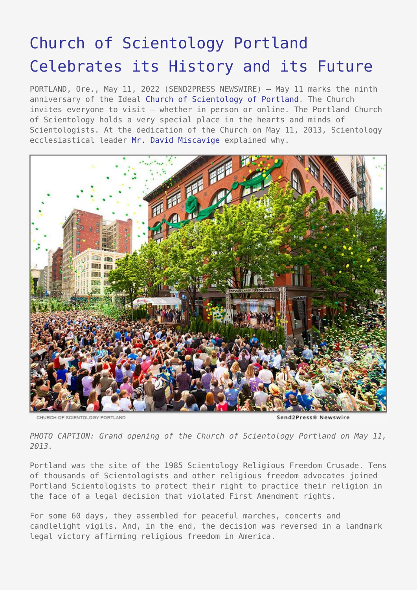## [Church of Scientology Portland](https://www.send2press.com/wire/church-of-scientology-portland-celebrates-its-history-and-its-future/) [Celebrates its History and its Future](https://www.send2press.com/wire/church-of-scientology-portland-celebrates-its-history-and-its-future/)

PORTLAND, Ore., May 11, 2022 (SEND2PRESS NEWSWIRE) — May 11 marks the ninth anniversary of the Ideal [Church of Scientology of Portland.](https://www.scientology-portland.org/) The Church invites everyone to visit — whether in person or online. The Portland Church of Scientology holds a very special place in the hearts and minds of Scientologists. At the dedication of the Church on May 11, 2013, Scientology ecclesiastical leader [Mr. David Miscavige](https://www.davidmiscavige.org/photos/galleries/portland-grand-opening.html) explained why.



Send2Press® Newswire

*PHOTO CAPTION: Grand opening of the Church of Scientology Portland on May 11, 2013.*

Portland was the site of the 1985 Scientology Religious Freedom Crusade. Tens of thousands of Scientologists and other religious freedom advocates joined Portland Scientologists to protect their right to practice their religion in the face of a legal decision that violated First Amendment rights.

For some 60 days, they assembled for peaceful marches, concerts and candlelight vigils. And, in the end, the decision was reversed in a landmark legal victory affirming religious freedom in America.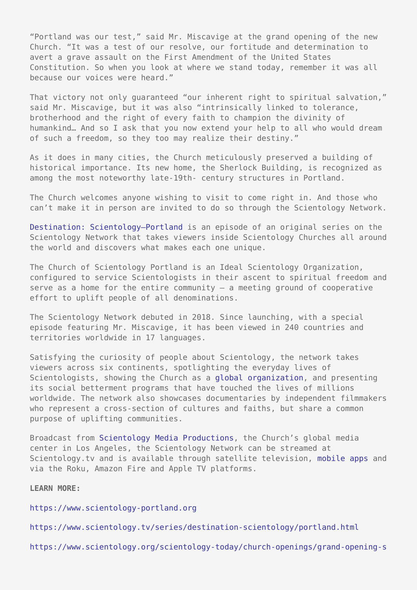"Portland was our test," said Mr. Miscavige at the grand opening of the new Church. "It was a test of our resolve, our fortitude and determination to avert a grave assault on the First Amendment of the United States Constitution. So when you look at where we stand today, remember it was all because our voices were heard."

That victory not only guaranteed "our inherent right to spiritual salvation," said Mr. Miscavige, but it was also "intrinsically linked to tolerance, brotherhood and the right of every faith to champion the divinity of humankind… And so I ask that you now extend your help to all who would dream of such a freedom, so they too may realize their destiny."

As it does in many cities, the Church meticulously preserved a building of historical importance. Its new home, the Sherlock Building, is recognized as among the most noteworthy late-19th- century structures in Portland.

The Church welcomes anyone wishing to visit to come right in. And those who can't make it in person are invited to do so through the Scientology Network.

[Destination: Scientology—Portland](https://www.scientology.tv/series/destination-scientology/portland.html) is an episode of an original series on the Scientology Network that takes viewers inside Scientology Churches all around the world and discovers what makes each one unique.

The Church of Scientology Portland is an Ideal Scientology Organization, configured to service Scientologists in their ascent to spiritual freedom and serve as a home for the entire community  $-$  a meeting ground of cooperative effort to uplift people of all denominations.

The Scientology Network debuted in 2018. Since launching, with a special episode featuring Mr. Miscavige, it has been viewed in 240 countries and territories worldwide in 17 languages.

Satisfying the curiosity of people about Scientology, the network takes viewers across six continents, spotlighting the everyday lives of Scientologists, showing the Church as a [global organization](https://www.scientology.tv/series/inside-scientology/), and presenting its social betterment programs that have touched the lives of millions worldwide. The network also showcases documentaries by independent filmmakers who represent a cross-section of cultures and faiths, but share a common purpose of uplifting communities.

Broadcast from [Scientology Media Productions,](https://www.scientology.tv/series/inside-scientology/scientology-media-productions.html) the Church's global media center in Los Angeles, the Scientology Network can be streamed at Scientology.tv and is available through satellite television, [mobile apps](https://www.scientology.tv/apps/) and via the Roku, Amazon Fire and Apple TV platforms.

**LEARN MORE:**

<https://www.scientology-portland.org>

<https://www.scientology.tv/series/destination-scientology/portland.html>

[https://www.scientology.org/scientology-today/church-openings/grand-opening-s](https://www.scientology.org/scientology-today/church-openings/grand-opening-scientology-ideal-organization-portland.html)